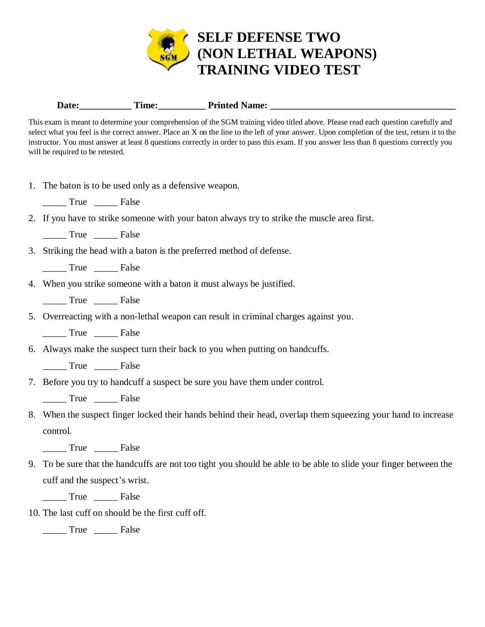

Date:\_\_\_\_\_\_\_\_\_\_\_\_\_\_ Time:\_\_\_\_\_\_\_\_\_\_\_\_\_ Printed Name: \_\_\_\_\_\_\_\_\_\_\_\_\_\_\_\_\_\_\_\_\_\_\_\_\_\_\_\_

This exam is meant to determine your comprehension of the SGM training video titled above. Please read each question carefully and select what you feel is the correct answer. Place an X on the line to the left of your answer. Upon completion of the test, return it to the instructor. You must answer at least 8 questions correctly in order to pass this exam. If you answer less than 8 questions correctly you will be required to be retested.

1. The baton is to be used only as a defensive weapon.

True False

2. If you have to strike someone with your baton always try to strike the muscle area first.

\_\_\_\_\_ True \_\_\_\_\_ False

3. Striking the head with a baton is the preferred method of defense.

\_\_\_\_\_ True \_\_\_\_\_ False

- 4. When you strike someone with a baton it must always be justified.
	- \_\_\_\_\_ True \_\_\_\_\_ False
- 5. Overreacting with a non-lethal weapon can result in criminal charges against you.

\_\_\_\_\_ True \_\_\_\_\_ False

6. Always make the suspect turn their back to you when putting on handcuffs.

\_\_\_\_\_ True \_\_\_\_\_ False

7. Before you try to handcuff a suspect be sure you have them under control.

True False

8. When the suspect finger locked their hands behind their head, overlap them squeezing your hand to increase control.

\_\_\_\_\_ True \_\_\_\_\_ False

- 9. To be sure that the handcuffs are not too tight you should be able to be able to slide your finger between the cuff and the suspect's wrist.
	- True False
- 10. The last cuff on should be the first cuff off.

\_\_\_\_\_ True \_\_\_\_\_ False